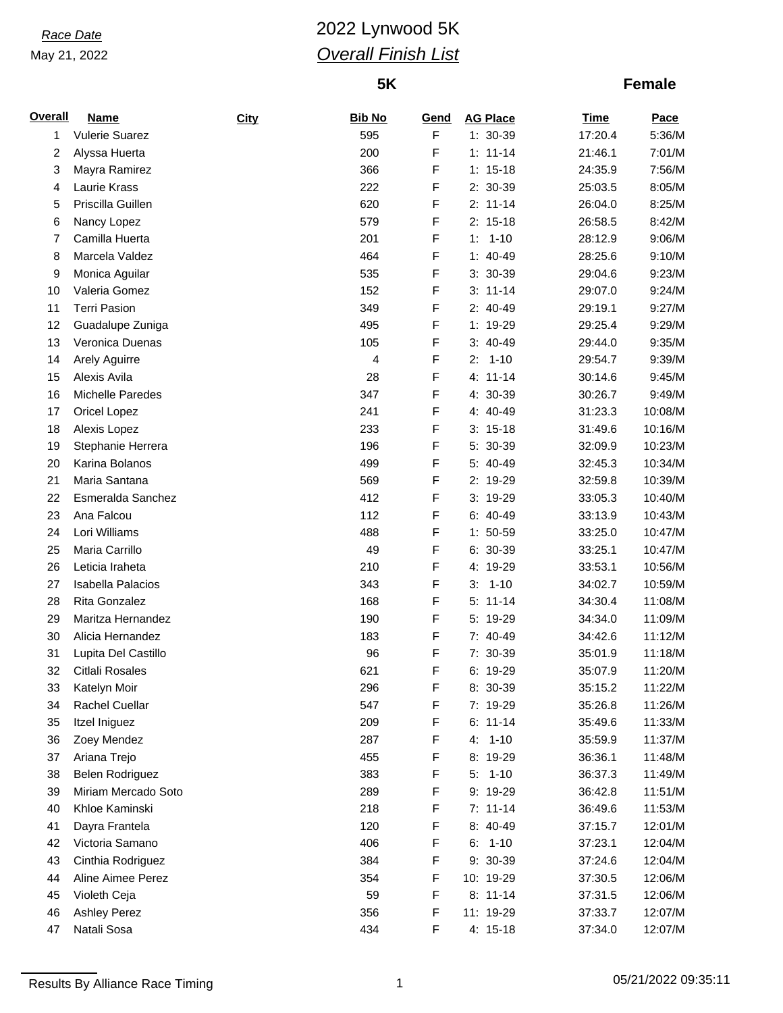# *Race Date* 2022 Lynwood 5K *Overall Finish List*

## **5K**

| <b>Overall</b> | <b>Name</b>              | <b>City</b> | <b>Bib No</b> | <b>Gend</b> | <b>AG Place</b> | <b>Time</b> | Pace    |
|----------------|--------------------------|-------------|---------------|-------------|-----------------|-------------|---------|
| 1              | <b>Vulerie Suarez</b>    |             | 595           | F           | 1: 30-39        | 17:20.4     | 5:36/M  |
| 2              | Alyssa Huerta            |             | 200           | F           | $1: 11 - 14$    | 21:46.1     | 7:01/M  |
| 3              | Mayra Ramirez            |             | 366           | F           | $1: 15-18$      | 24:35.9     | 7:56/M  |
| 4              | Laurie Krass             |             | 222           | F           | 2: 30-39        | 25:03.5     | 8:05/M  |
| 5              | Priscilla Guillen        |             | 620           | F           | $2: 11-14$      | 26:04.0     | 8:25/M  |
| 6              | Nancy Lopez              |             | 579           | F           | $2: 15-18$      | 26:58.5     | 8:42/M  |
| 7              | Camilla Huerta           |             | 201           | F           | $1 - 10$<br>1:  | 28:12.9     | 9:06/M  |
| 8              | Marcela Valdez           |             | 464           | F           | $1: 40-49$      | 28:25.6     | 9:10/M  |
| 9              | Monica Aguilar           |             | 535           | F           | 3: 30-39        | 29:04.6     | 9:23/M  |
| 10             | Valeria Gomez            |             | 152           | F           | $3: 11-14$      | 29:07.0     | 9:24/M  |
| 11             | <b>Terri Pasion</b>      |             | 349           | F           | 2: 40-49        | 29:19.1     | 9:27/M  |
| 12             | Guadalupe Zuniga         |             | 495           | F           | 1: 19-29        | 29:25.4     | 9:29/M  |
| 13             | Veronica Duenas          |             | 105           | F           | 3: 40-49        | 29:44.0     | 9:35/M  |
| 14             | Arely Aguirre            |             | 4             | F           | $2: 1-10$       | 29:54.7     | 9:39/M  |
| 15             | Alexis Avila             |             | 28            | F           | $4: 11 - 14$    | 30:14.6     | 9:45/M  |
| 16             | Michelle Paredes         |             | 347           | F           | 4: 30-39        | 30:26.7     | 9:49/M  |
| 17             | Oricel Lopez             |             | 241           | F           | 4: 40-49        | 31:23.3     | 10:08/M |
| 18             | Alexis Lopez             |             | 233           | F           | $3: 15-18$      | 31:49.6     | 10:16/M |
| 19             | Stephanie Herrera        |             | 196           | F           | 5: 30-39        | 32:09.9     | 10:23/M |
| 20             | Karina Bolanos           |             | 499           | F           | 5: 40-49        | 32:45.3     | 10:34/M |
| 21             | Maria Santana            |             | 569           | F           | 2: 19-29        | 32:59.8     | 10:39/M |
| 22             | Esmeralda Sanchez        |             | 412           | F           | 3: 19-29        | 33:05.3     | 10:40/M |
| 23             | Ana Falcou               |             | 112           | F           | $6: 40-49$      | 33:13.9     | 10:43/M |
| 24             | Lori Williams            |             | 488           | F           | $1: 50-59$      | 33:25.0     | 10:47/M |
| 25             | Maria Carrillo           |             | 49            | F           | 6: 30-39        | 33:25.1     | 10:47/M |
| 26             | Leticia Iraheta          |             | 210           | F           | 4: 19-29        | 33:53.1     | 10:56/M |
| 27             | <b>Isabella Palacios</b> |             | 343           | F           | $3: 1-10$       | 34:02.7     | 10:59/M |
| 28             | Rita Gonzalez            |             | 168           | F           | $5: 11-14$      | 34:30.4     | 11:08/M |
| 29             | Maritza Hernandez        |             | 190           | F           | 5: 19-29        | 34:34.0     | 11:09/M |
| 30             | Alicia Hernandez         |             | 183           | F           | 7: 40-49        | 34:42.6     | 11:12/M |
| 31             | Lupita Del Castillo      |             | 96            | F           | 7: 30-39        | 35:01.9     | 11:18/M |
| 32             | <b>Citlali Rosales</b>   |             | 621           | F           | 6: 19-29        | 35:07.9     | 11:20/M |
| 33             | Katelyn Moir             |             | 296           | F           | 8: 30-39        | 35:15.2     | 11:22/M |
| 34             | Rachel Cuellar           |             | 547           | F           | 7: 19-29        | 35:26.8     | 11:26/M |
| 35             | Itzel Iniguez            |             | 209           | F           | $6: 11-14$      | 35:49.6     | 11:33/M |
| 36             | Zoey Mendez              |             | 287           | F           | $4: 1-10$       | 35:59.9     | 11:37/M |
| 37             | Ariana Trejo             |             | 455           | F           | 8: 19-29        | 36:36.1     | 11:48/M |
| 38             | Belen Rodriguez          |             | 383           | F           | $5: 1-10$       | 36:37.3     | 11:49/M |
| 39             | Miriam Mercado Soto      |             | 289           | F           | 9: 19-29        | 36:42.8     | 11:51/M |
| 40             | Khloe Kaminski           |             | 218           | F           | $7: 11-14$      | 36:49.6     | 11:53/M |
| 41             | Dayra Frantela           |             | 120           | F           | 8: 40-49        | 37:15.7     | 12:01/M |
| 42             | Victoria Samano          |             | 406           | F           | $6: 1-10$       | 37:23.1     | 12:04/M |
| 43             | Cinthia Rodriguez        |             | 384           | F           | 9: 30-39        | 37:24.6     | 12:04/M |
| 44             | Aline Aimee Perez        |             | 354           | F           | 10: 19-29       | 37:30.5     | 12:06/M |
| 45             | Violeth Ceja             |             | 59            | F           | $8: 11-14$      | 37:31.5     | 12:06/M |
| 46             | <b>Ashley Perez</b>      |             | 356           | F           | 11: 19-29       | 37:33.7     | 12:07/M |
| 47             | Natali Sosa              |             | 434           | F           | 4: 15-18        | 37:34.0     | 12:07/M |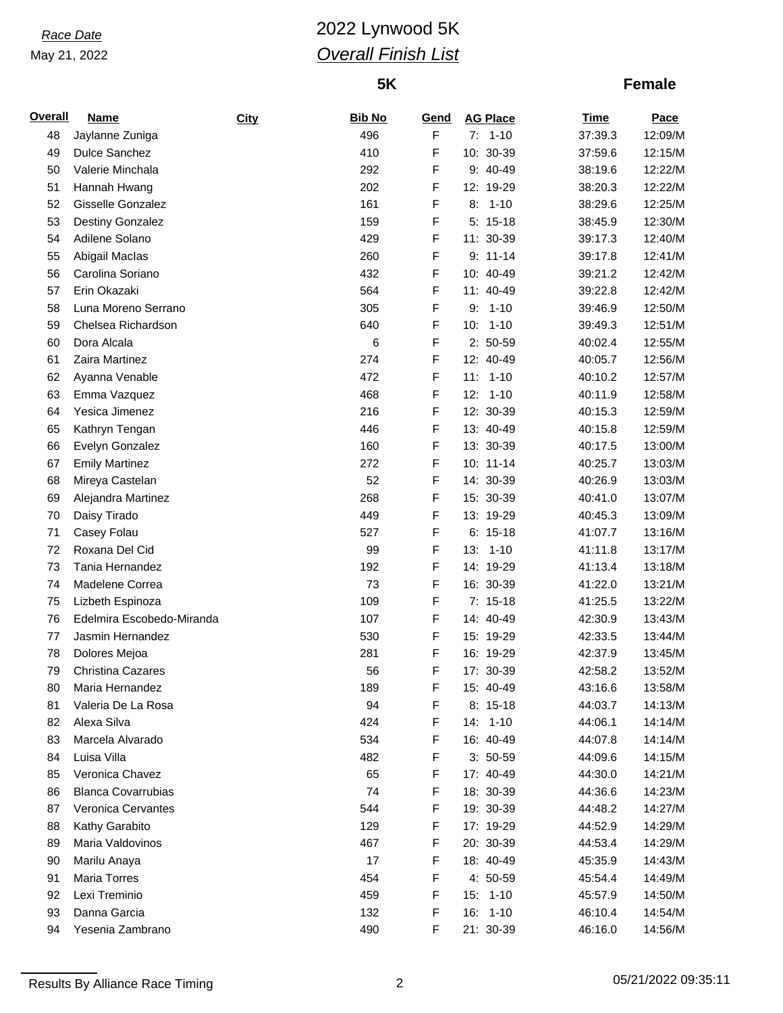# *Race Date* 2022 Lynwood 5K *Overall Finish List*

## **5K**

## **Female**

| <b>Overall</b> | <b>Name</b>                  | <b>City</b> | <b>Bib No</b> | Gend        | <b>AG Place</b>       | <b>Time</b> | Pace               |
|----------------|------------------------------|-------------|---------------|-------------|-----------------------|-------------|--------------------|
| 48             | Jaylanne Zuniga              |             | 496           | F           | $7: 1-10$             | 37:39.3     | 12:09/M            |
| 49             | Dulce Sanchez                |             | 410           | F           | 10: 30-39             | 37:59.6     | 12:15/M            |
| 50             | Valerie Minchala             |             | 292           | F           | 9: 40-49              | 38:19.6     | 12:22/M            |
| 51             | Hannah Hwang                 |             | 202           | F           | 12: 19-29             | 38:20.3     | 12:22/M            |
| 52             | Gisselle Gonzalez            |             | 161           | F           | $8: 1-10$             | 38:29.6     | 12:25/M            |
| 53             | <b>Destiny Gonzalez</b>      |             | 159           | F           | $5: 15-18$            | 38:45.9     | 12:30/M            |
| 54             | Adilene Solano               |             | 429           | F           | 11: 30-39             | 39:17.3     | 12:40/M            |
| 55             | Abigail Maclas               |             | 260           | F           | $9: 11-14$            | 39:17.8     | 12:41/M            |
| 56             | Carolina Soriano             |             | 432           | F           | 10: 40-49             | 39:21.2     | 12:42/M            |
| 57             | Erin Okazaki                 |             | 564           | F           | 11: 40-49             | 39:22.8     | 12:42/M            |
| 58             | Luna Moreno Serrano          |             | 305           | F           | $1 - 10$<br>9:        | 39:46.9     | 12:50/M            |
| 59             | Chelsea Richardson           |             | 640           | F           | $10: 1-10$            | 39:49.3     | 12:51/M            |
| 60             | Dora Alcala                  |             | 6             | F           | $2: 50-59$            | 40:02.4     | 12:55/M            |
| 61             | Zaira Martinez               |             | 274           | F           | 12: 40-49             | 40:05.7     | 12:56/M            |
| 62             | Ayanna Venable               |             | 472           | F           | 11:<br>$1 - 10$       | 40:10.2     | 12:57/M            |
| 63             | Emma Vazquez                 |             | 468           | F           | $12: 1-10$            | 40:11.9     | 12:58/M            |
| 64             | Yesica Jimenez               |             | 216           | F           | 12: 30-39             | 40:15.3     | 12:59/M            |
| 65             | Kathryn Tengan               |             | 446           | F           | 13: 40-49             | 40:15.8     | 12:59/M            |
| 66             | Evelyn Gonzalez              |             | 160           | F           | 13: 30-39             | 40:17.5     | 13:00/M            |
| 67             | <b>Emily Martinez</b>        |             | 272           | F           | 10: 11-14             | 40:25.7     | 13:03/M            |
| 68             | Mireya Castelan              |             | 52            | F           | 14: 30-39             | 40:26.9     | 13:03/M            |
| 69             | Alejandra Martinez           |             | 268           | F           | 15: 30-39             | 40:41.0     | 13:07/M            |
| 70             | Daisy Tirado                 |             | 449           | F           | 13: 19-29             | 40:45.3     | 13:09/M            |
| 71             | Casey Folau                  |             | 527           | $\mathsf F$ | $6: 15-18$            | 41:07.7     | 13:16/M            |
| 72             | Roxana Del Cid               |             | 99            | F           | $13: 1-10$            | 41:11.8     | 13:17/M            |
| 73             | Tania Hernandez              |             | 192           | F           | 14: 19-29             | 41:13.4     | 13:18/M            |
| 74             | Madelene Correa              |             | 73            | F           | 16: 30-39             | 41:22.0     | 13:21/M            |
| 75             | Lizbeth Espinoza             |             | 109           | $\mathsf F$ | $7: 15-18$            | 41:25.5     | 13:22/M            |
| 76             | Edelmira Escobedo-Miranda    |             | 107           | F           | 14: 40-49             | 42:30.9     | 13:43/M            |
| 77             | Jasmin Hernandez             |             | 530           | F           | 15: 19-29             | 42:33.5     | 13:44/M            |
| 78             | Dolores Mejoa                |             | 281           | F           | 16: 19-29             | 42:37.9     | 13:45/M            |
| 79             | <b>Christina Cazares</b>     |             | 56            | F           | 17: 30-39             | 42:58.2     | 13:52/M            |
| 80             | Maria Hernandez              |             | 189           | F           | 15: 40-49             | 43:16.6     | 13:58/M            |
| 81             | Valeria De La Rosa           |             | 94            | F           | $8: 15-18$            | 44:03.7     | 14:13/M            |
| 82             | Alexa Silva                  |             | 424           | F           | 14: 1-10              | 44:06.1     | 14:14/M            |
| 83             | Marcela Alvarado             |             | 534           | F           | 16: 40-49             | 44:07.8     | 14:14/M            |
| 84             | Luisa Villa                  |             | 482           | F           | $3: 50-59$            | 44:09.6     | 14:15/M            |
| 85             | Veronica Chavez              |             | 65            | F           | 17: 40-49             | 44:30.0     | 14:21/M            |
| 86             | <b>Blanca Covarrubias</b>    |             | 74            | F           | 18: 30-39             | 44:36.6     | 14:23/M            |
| 87             | <b>Veronica Cervantes</b>    |             | 544           | F           | 19: 30-39             | 44:48.2     | 14:27/M            |
| 88             | Kathy Garabito               |             | 129           | F           | 17: 19-29             | 44:52.9     | 14:29/M            |
| 89             | Maria Valdovinos             |             | 467           | F           | 20: 30-39             | 44:53.4     | 14:29/M            |
|                |                              |             |               |             |                       |             |                    |
| 90             | Marilu Anaya<br>Maria Torres |             | 17<br>454     | F<br>F      | 18: 40-49<br>4: 50-59 | 45:35.9     | 14:43/M<br>14:49/M |
| 91             |                              |             |               |             |                       | 45:54.4     |                    |
| 92             | Lexi Treminio                |             | 459           | F           | $15: 1-10$            | 45:57.9     | 14:50/M            |
| 93             | Danna Garcia                 |             | 132           | F           | 16: 1-10              | 46:10.4     | 14:54/M            |
| 94             | Yesenia Zambrano             |             | 490           | F           | 21: 30-39             | 46:16.0     | 14:56/M            |

Results By Alliance Race Timing 2 2 05/21/2022 09:35:11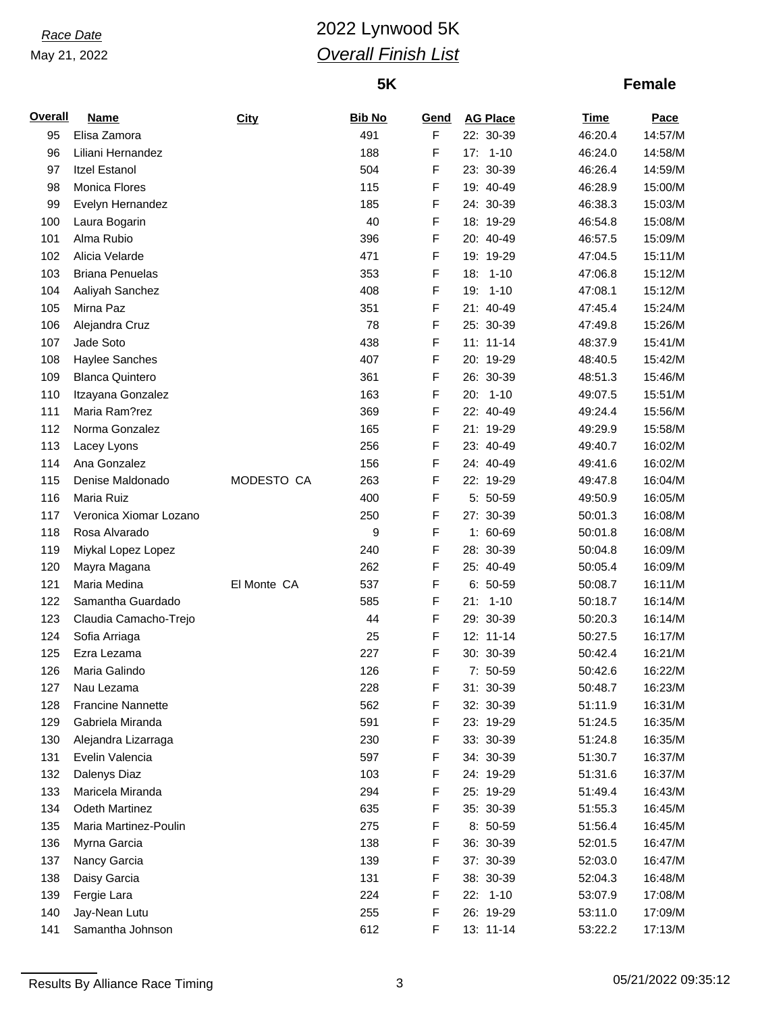# *Race Date* 2022 Lynwood 5K *Overall Finish List*

## **5K**

| <b>Overall</b> | <b>Name</b>              | City        | <b>Bib No</b> | Gend | <b>AG Place</b> | <b>Time</b>        | Pace    |
|----------------|--------------------------|-------------|---------------|------|-----------------|--------------------|---------|
| 95             | Elisa Zamora             |             | 491           | F    | 22: 30-39       | 46:20.4            | 14:57/M |
| 96             | Liliani Hernandez        |             | 188           | F    | $17: 1-10$      | 46:24.0            | 14:58/M |
| 97             | <b>Itzel Estanol</b>     |             | 504           | F    | 23: 30-39       | 46:26.4            | 14:59/M |
| 98             | Monica Flores            |             | 115           | F    | 19: 40-49       | 46:28.9            | 15:00/M |
| 99             | Evelyn Hernandez         |             | 185           | F    | 24: 30-39       | 46:38.3            | 15:03/M |
| 100            | Laura Bogarin            |             | 40            | F    | 18: 19-29       | 46:54.8            | 15:08/M |
| 101            | Alma Rubio               |             | 396           | F    | 20: 40-49       | 46:57.5            | 15:09/M |
| 102            | Alicia Velarde           |             | 471           | F    | 19: 19-29       | 47:04.5            | 15:11/M |
| 103            | <b>Briana Penuelas</b>   |             | 353           | F    | 18: 1-10        | 47:06.8            | 15:12/M |
| 104            | Aaliyah Sanchez          |             | 408           | F    | 19: 1-10        | 47:08.1            | 15:12/M |
| 105            | Mirna Paz                |             | 351           | F    | 21: 40-49       | 47:45.4            | 15:24/M |
| 106            | Alejandra Cruz           |             | 78            | F    | 25: 30-39       | 47:49.8            | 15:26/M |
| 107            | Jade Soto                |             | 438           | F    | $11: 11-14$     | 48:37.9            | 15:41/M |
| 108            | Haylee Sanches           |             | 407           | F    | 20: 19-29       | 48:40.5            | 15:42/M |
| 109            | <b>Blanca Quintero</b>   |             | 361           | F    | 26: 30-39       | 48:51.3            | 15:46/M |
| 110            | Itzayana Gonzalez        |             | 163           | F    | 20: 1-10        | 49:07.5            | 15:51/M |
| 111            | Maria Ram?rez            |             | 369           | F    | 22: 40-49       | 49:24.4            | 15:56/M |
| 112            | Norma Gonzalez           |             | 165           | F    | 21: 19-29       | 49:29.9            | 15:58/M |
| 113            | Lacey Lyons              |             | 256           | F    | 23: 40-49       | 49:40.7            | 16:02/M |
| 114            | Ana Gonzalez             |             | 156           | F    | 24: 40-49       | 49:41.6            | 16:02/M |
| 115            | Denise Maldonado         | MODESTO CA  | 263           | F    | 22: 19-29       | 49:47.8            | 16:04/M |
| 116            | Maria Ruiz               |             | 400           | F    | 5: 50-59        | 49:50.9            | 16:05/M |
| 117            | Veronica Xiomar Lozano   |             | 250           | F    | 27: 30-39       | 50:01.3            | 16:08/M |
| 118            | Rosa Alvarado            |             | 9             | F    | 1: 60-69        | 50:01.8            | 16:08/M |
| 119            | Miykal Lopez Lopez       |             | 240           | F    | 28: 30-39       | 50:04.8            | 16:09/M |
| 120            | Mayra Magana             |             | 262           | F    | 25: 40-49       | 50:05.4            | 16:09/M |
| 121            | Maria Medina             | El Monte CA | 537           | F    | $6: 50-59$      | 50:08.7            | 16:11/M |
| 122            | Samantha Guardado        |             | 585           | F    | $21: 1-10$      | 50:18.7            | 16:14/M |
| 123            | Claudia Camacho-Trejo    |             | 44            | F    | 29: 30-39       | 50:20.3            | 16:14/M |
| 124            | Sofia Arriaga            |             | 25            | F    | 12: 11-14       | 50:27.5            | 16:17/M |
| 125            | Ezra Lezama              |             | 227           | F    | 30: 30-39       | 50:42.4            | 16:21/M |
| 126            | Maria Galindo            |             | 126           | F    | 7: 50-59        | 50:42.6            | 16:22/M |
| 127            | Nau Lezama               |             | 228           | F    | 31: 30-39       | 50:48.7            | 16:23/M |
| 128            | <b>Francine Nannette</b> |             | 562           | F    | 32: 30-39       | 51:11.9            | 16:31/M |
| 129            | Gabriela Miranda         |             | 591           | F    | 23: 19-29       | 51:24.5            | 16:35/M |
| 130            | Alejandra Lizarraga      |             | 230           | F    | 33: 30-39       | 51:24.8            | 16:35/M |
| 131            | Evelin Valencia          |             | 597           | F    | 34: 30-39       |                    | 16:37/M |
| 132            |                          |             | 103           |      | 24: 19-29       | 51:30.7<br>51:31.6 | 16:37/M |
|                | Dalenys Diaz             |             |               | F    |                 |                    |         |
| 133            | Maricela Miranda         |             | 294           | F    | 25: 19-29       | 51:49.4            | 16:43/M |
| 134            | Odeth Martinez           |             | 635           | F    | 35: 30-39       | 51:55.3            | 16:45/M |
| 135            | Maria Martinez-Poulin    |             | 275           | F    | 8: 50-59        | 51:56.4            | 16:45/M |
| 136            | Myrna Garcia             |             | 138           | F    | 36: 30-39       | 52:01.5            | 16:47/M |
| 137            | Nancy Garcia             |             | 139           | F    | 37: 30-39       | 52:03.0            | 16:47/M |
| 138            | Daisy Garcia             |             | 131           | F    | 38: 30-39       | 52:04.3            | 16:48/M |
| 139            | Fergie Lara              |             | 224           | F    | 22: 1-10        | 53:07.9            | 17:08/M |
| 140            | Jay-Nean Lutu            |             | 255           | F    | 26: 19-29       | 53:11.0            | 17:09/M |
| 141            | Samantha Johnson         |             | 612           | F    | 13: 11-14       | 53:22.2            | 17:13/M |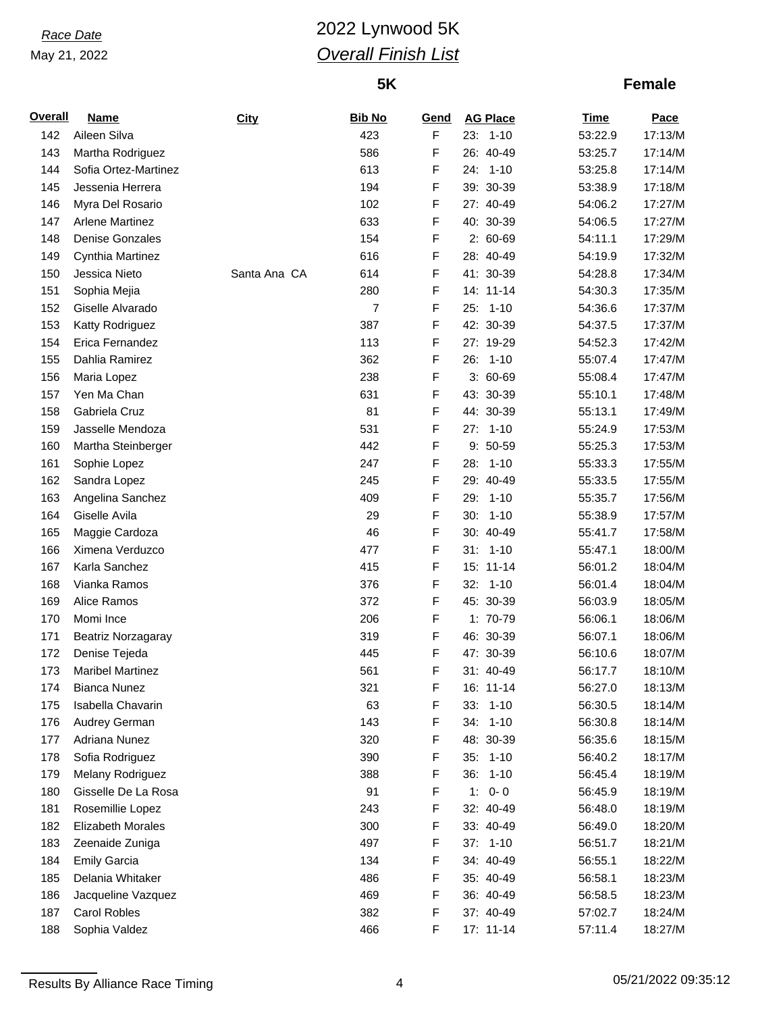# *Race Date* 2022 Lynwood 5K *Overall Finish List*

## **5K**

| <b>Overall</b> | <b>Name</b>              | City         | <b>Bib No</b>  | Gend | <b>AG Place</b> | <b>Time</b> | Pace    |
|----------------|--------------------------|--------------|----------------|------|-----------------|-------------|---------|
| 142            | Aileen Silva             |              | 423            | F    | $23: 1-10$      | 53:22.9     | 17:13/M |
| 143            | Martha Rodriguez         |              | 586            | F    | 26: 40-49       | 53:25.7     | 17:14/M |
| 144            | Sofia Ortez-Martinez     |              | 613            | F    | 24: 1-10        | 53:25.8     | 17:14/M |
| 145            | Jessenia Herrera         |              | 194            | F    | 39: 30-39       | 53:38.9     | 17:18/M |
| 146            | Myra Del Rosario         |              | 102            | F    | 27: 40-49       | 54:06.2     | 17:27/M |
| 147            | <b>Arlene Martinez</b>   |              | 633            | F    | 40: 30-39       | 54:06.5     | 17:27/M |
| 148            | <b>Denise Gonzales</b>   |              | 154            | F    | 2: 60-69        | 54:11.1     | 17:29/M |
| 149            | Cynthia Martinez         |              | 616            | F    | 28: 40-49       | 54:19.9     | 17:32/M |
| 150            | Jessica Nieto            | Santa Ana CA | 614            | F    | 41: 30-39       | 54:28.8     | 17:34/M |
| 151            | Sophia Mejia             |              | 280            | F    | 14: 11-14       | 54:30.3     | 17:35/M |
| 152            | Giselle Alvarado         |              | $\overline{7}$ | F    | 25: 1-10        | 54:36.6     | 17:37/M |
| 153            | Katty Rodriguez          |              | 387            | F    | 42: 30-39       | 54:37.5     | 17:37/M |
| 154            | Erica Fernandez          |              | 113            | F    | 27: 19-29       | 54:52.3     | 17:42/M |
| 155            | Dahlia Ramirez           |              | 362            | F    | 26: 1-10        | 55:07.4     | 17:47/M |
| 156            | Maria Lopez              |              | 238            | F    | $3:60-69$       | 55:08.4     | 17:47/M |
| 157            | Yen Ma Chan              |              | 631            | F    | 43: 30-39       | 55:10.1     | 17:48/M |
| 158            | Gabriela Cruz            |              | 81             | F    | 44: 30-39       | 55:13.1     | 17:49/M |
| 159            | Jasselle Mendoza         |              | 531            | F    | 27: 1-10        | 55:24.9     | 17:53/M |
| 160            | Martha Steinberger       |              | 442            | F    | 9: 50-59        | 55:25.3     | 17:53/M |
| 161            | Sophie Lopez             |              | 247            | F    | 28:<br>$1 - 10$ | 55:33.3     | 17:55/M |
| 162            | Sandra Lopez             |              | 245            | F    | 29: 40-49       | 55:33.5     | 17:55/M |
| 163            | Angelina Sanchez         |              | 409            | F    | $1 - 10$<br>29: | 55:35.7     | 17:56/M |
| 164            | Giselle Avila            |              | 29             | F    | 30:<br>$1 - 10$ | 55:38.9     | 17:57/M |
|                |                          |              | 46             | F    | 30: 40-49       |             | 17:58/M |
| 165            | Maggie Cardoza           |              |                |      |                 | 55:41.7     |         |
| 166            | Ximena Verduzco          |              | 477            | F    | $31: 1-10$      | 55:47.1     | 18:00/M |
| 167            | Karla Sanchez            |              | 415            | F    | 15: 11-14       | 56:01.2     | 18:04/M |
| 168            | Vianka Ramos             |              | 376            | F    | $32: 1-10$      | 56:01.4     | 18:04/M |
| 169            | Alice Ramos              |              | 372            | F    | 45: 30-39       | 56:03.9     | 18:05/M |
| 170            | Momi Ince                |              | 206            | F    | 1: 70-79        | 56:06.1     | 18:06/M |
| 171            | Beatriz Norzagaray       |              | 319            | F    | 46: 30-39       | 56:07.1     | 18:06/M |
| 172            | Denise Tejeda            |              | 445            | F    | 47: 30-39       | 56:10.6     | 18:07/M |
| 173            | <b>Maribel Martinez</b>  |              | 561            | F    | 31: 40-49       | 56:17.7     | 18:10/M |
| 174            | <b>Bianca Nunez</b>      |              | 321            | F    | 16: 11-14       | 56:27.0     | 18:13/M |
| 175            | Isabella Chavarin        |              | 63             | F    | 33: 1-10        | 56:30.5     | 18:14/M |
| 176            | Audrey German            |              | 143            | F    | 34: 1-10        | 56:30.8     | 18:14/M |
| 177            | Adriana Nunez            |              | 320            | F    | 48: 30-39       | 56:35.6     | 18:15/M |
| 178            | Sofia Rodriguez          |              | 390            | F    | 35: 1-10        | 56:40.2     | 18:17/M |
| 179            | Melany Rodriguez         |              | 388            | F    | 36: 1-10        | 56:45.4     | 18:19/M |
| 180            | Gisselle De La Rosa      |              | 91             | F    | 1:<br>$0 - 0$   | 56:45.9     | 18:19/M |
| 181            | Rosemillie Lopez         |              | 243            | F    | 32: 40-49       | 56:48.0     | 18:19/M |
| 182            | <b>Elizabeth Morales</b> |              | 300            | F    | 33: 40-49       | 56:49.0     | 18:20/M |
| 183            | Zeenaide Zuniga          |              | 497            | F    | $37: 1-10$      | 56:51.7     | 18:21/M |
| 184            | <b>Emily Garcia</b>      |              | 134            | F    | 34: 40-49       | 56:55.1     | 18:22/M |
| 185            | Delania Whitaker         |              | 486            | F    | 35: 40-49       | 56:58.1     | 18:23/M |
| 186            | Jacqueline Vazquez       |              | 469            | F    | 36: 40-49       | 56:58.5     | 18:23/M |
| 187            | Carol Robles             |              | 382            | F    | 37: 40-49       | 57:02.7     | 18:24/M |
| 188            | Sophia Valdez            |              | 466            | F    | 17: 11-14       | 57:11.4     | 18:27/M |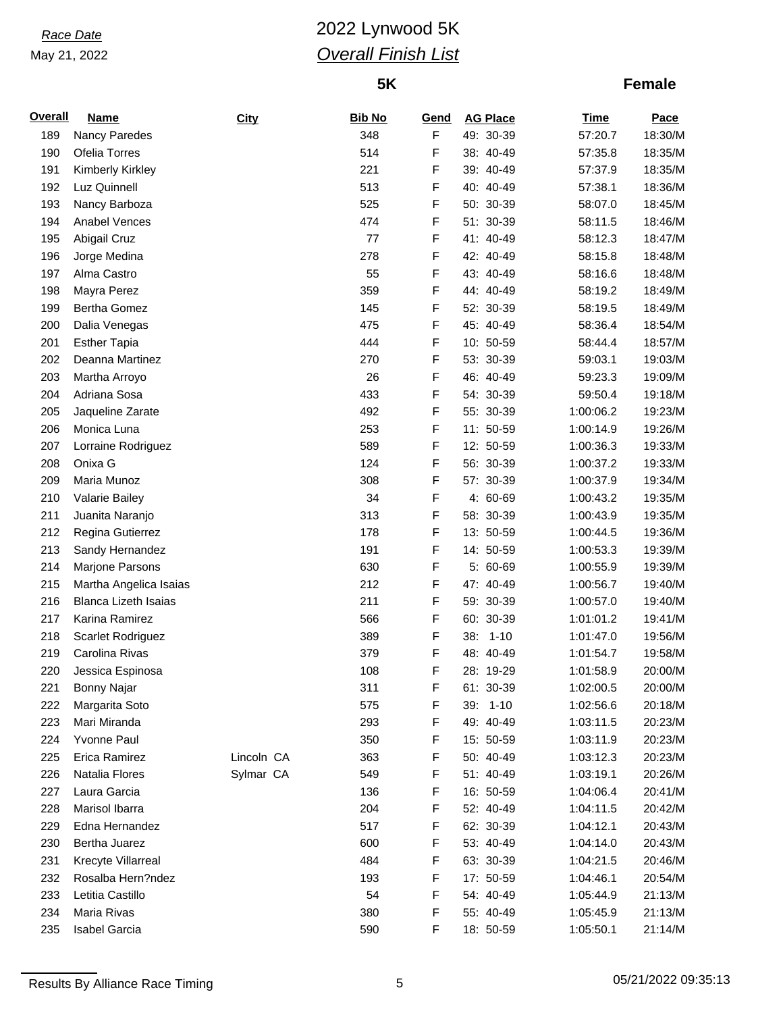# *Race Date* 2022 Lynwood 5K *Overall Finish List*

## **5K**

| <b>Overall</b> | <b>Name</b>                 | City       | <b>Bib No</b> | <b>Gend</b> | <b>AG Place</b> | <b>Time</b> | Pace    |
|----------------|-----------------------------|------------|---------------|-------------|-----------------|-------------|---------|
| 189            | Nancy Paredes               |            | 348           | F           | 49: 30-39       | 57:20.7     | 18:30/M |
| 190            | Ofelia Torres               |            | 514           | F           | 38: 40-49       | 57:35.8     | 18:35/M |
| 191            | Kimberly Kirkley            |            | 221           | F           | 39: 40-49       | 57:37.9     | 18:35/M |
| 192            | Luz Quinnell                |            | 513           | F           | 40: 40-49       | 57:38.1     | 18:36/M |
| 193            | Nancy Barboza               |            | 525           | F           | 50: 30-39       | 58:07.0     | 18:45/M |
| 194            | Anabel Vences               |            | 474           | F           | 51: 30-39       | 58:11.5     | 18:46/M |
| 195            | Abigail Cruz                |            | 77            | F           | 41: 40-49       | 58:12.3     | 18:47/M |
| 196            | Jorge Medina                |            | 278           | F           | 42: 40-49       | 58:15.8     | 18:48/M |
| 197            | Alma Castro                 |            | 55            | F           | 43: 40-49       | 58:16.6     | 18:48/M |
| 198            | Mayra Perez                 |            | 359           | F           | 44: 40-49       | 58:19.2     | 18:49/M |
| 199            | <b>Bertha Gomez</b>         |            | 145           | F           | 52: 30-39       | 58:19.5     | 18:49/M |
| 200            | Dalia Venegas               |            | 475           | F           | 45: 40-49       | 58:36.4     | 18:54/M |
| 201            | <b>Esther Tapia</b>         |            | 444           | F           | 10: 50-59       | 58:44.4     | 18:57/M |
| 202            | Deanna Martinez             |            | 270           | F           | 53: 30-39       | 59:03.1     | 19:03/M |
| 203            | Martha Arroyo               |            | 26            | F           | 46: 40-49       | 59:23.3     | 19:09/M |
| 204            | Adriana Sosa                |            | 433           | F           | 54: 30-39       | 59:50.4     | 19:18/M |
| 205            | Jaqueline Zarate            |            | 492           | F           | 55: 30-39       | 1:00:06.2   | 19:23/M |
| 206            | Monica Luna                 |            | 253           | F           | 11: 50-59       | 1:00:14.9   | 19:26/M |
| 207            | Lorraine Rodriguez          |            | 589           | F           | 12: 50-59       | 1:00:36.3   | 19:33/M |
| 208            | Onixa G                     |            | 124           | F           | 56: 30-39       | 1:00:37.2   | 19:33/M |
| 209            | Maria Munoz                 |            | 308           | F           | 57: 30-39       | 1:00:37.9   | 19:34/M |
| 210            | Valarie Bailey              |            | 34            | F           | 4: 60-69        | 1:00:43.2   | 19:35/M |
| 211            | Juanita Naranjo             |            | 313           | F           | 58: 30-39       | 1:00:43.9   | 19:35/M |
| 212            | Regina Gutierrez            |            | 178           | F           | 13: 50-59       | 1:00:44.5   | 19:36/M |
| 213            | Sandy Hernandez             |            | 191           | F           | 14: 50-59       | 1:00:53.3   | 19:39/M |
| 214            | Marjone Parsons             |            | 630           | F           | 5: 60-69        | 1:00:55.9   | 19:39/M |
| 215            | Martha Angelica Isaias      |            | 212           | F           | 47: 40-49       | 1:00:56.7   | 19:40/M |
| 216            | <b>Blanca Lizeth Isaias</b> |            | 211           | F           | 59: 30-39       | 1:00:57.0   | 19:40/M |
| 217            | Karina Ramirez              |            | 566           | F           | 60: 30-39       | 1:01:01.2   | 19:41/M |
| 218            | Scarlet Rodriguez           |            | 389           | F           | 38: 1-10        | 1:01:47.0   | 19:56/M |
| 219            | Carolina Rivas              |            | 379           | F           | 48: 40-49       | 1:01:54.7   | 19:58/M |
| 220            | Jessica Espinosa            |            | 108           | F           | 28: 19-29       | 1:01:58.9   | 20:00/M |
| 221            | Bonny Najar                 |            | 311           | F           | 61: 30-39       | 1:02:00.5   | 20:00/M |
| 222            | Margarita Soto              |            | 575           | F           | 39: 1-10        | 1:02:56.6   | 20:18/M |
| 223            | Mari Miranda                |            | 293           | F           | 49: 40-49       | 1:03:11.5   | 20:23/M |
| 224            | Yvonne Paul                 |            | 350           | F           | 15: 50-59       | 1:03:11.9   | 20:23/M |
| 225            | Erica Ramirez               | Lincoln CA | 363           | F           | 50: 40-49       | 1:03:12.3   | 20:23/M |
| 226            | Natalia Flores              | Sylmar CA  | 549           | F           | 51: 40-49       | 1:03:19.1   | 20:26/M |
| 227            | Laura Garcia                |            | 136           | F           | 16: 50-59       | 1:04:06.4   | 20:41/M |
| 228            | Marisol Ibarra              |            | 204           | F           | 52: 40-49       | 1:04:11.5   | 20:42/M |
| 229            | Edna Hernandez              |            | 517           | F           | 62: 30-39       | 1:04:12.1   | 20:43/M |
| 230            | Bertha Juarez               |            | 600           | F           | 53: 40-49       | 1:04:14.0   | 20:43/M |
| 231            | Krecyte Villarreal          |            | 484           | F           | 63: 30-39       | 1:04:21.5   | 20:46/M |
| 232            | Rosalba Hern?ndez           |            | 193           | F           | 17: 50-59       | 1:04:46.1   | 20:54/M |
| 233            | Letitia Castillo            |            | 54            | F           | 54: 40-49       | 1:05:44.9   | 21:13/M |
| 234            | Maria Rivas                 |            | 380           | F           | 55: 40-49       | 1:05:45.9   | 21:13/M |
| 235            | Isabel Garcia               |            | 590           | F           | 18: 50-59       | 1:05:50.1   | 21:14/M |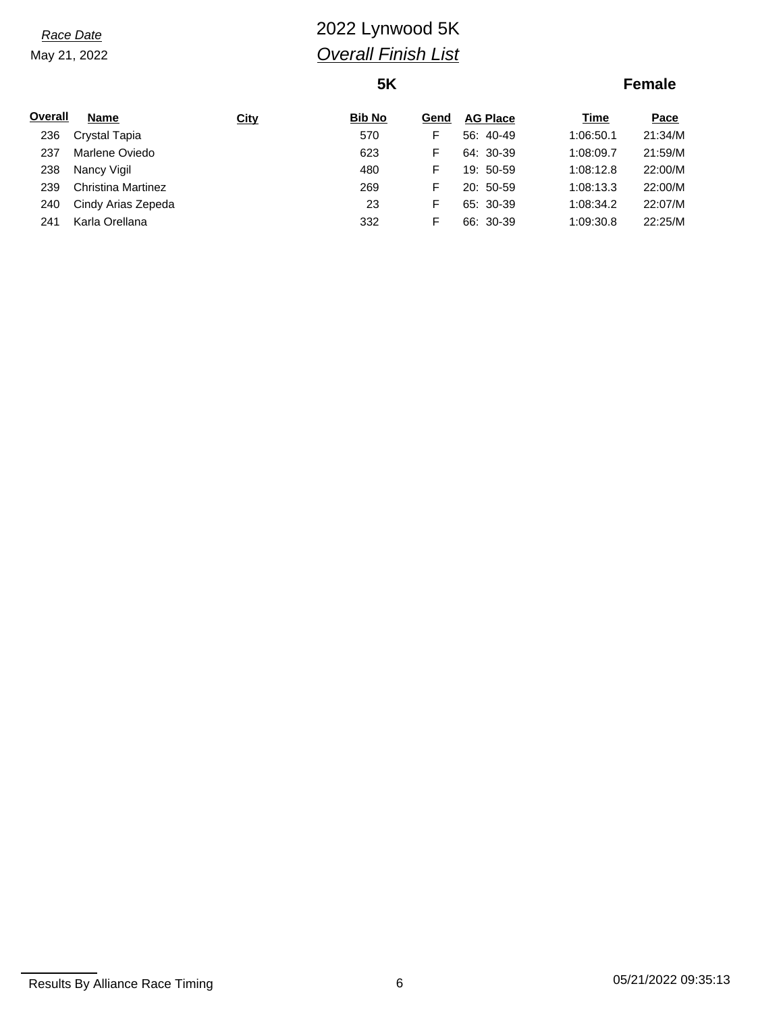# *Race Date* 2022 Lynwood 5K *Overall Finish List*

## **5K**

| Overall | <b>Name</b>               | <b>City</b> | <b>Bib No</b> | Gend | <b>AG Place</b> | Time      | Pace    |
|---------|---------------------------|-------------|---------------|------|-----------------|-----------|---------|
| 236     | Crystal Tapia             |             | 570           | F    | 56: 40-49       | 1:06:50.1 | 21:34/M |
| 237     | Marlene Oviedo            |             | 623           | F    | 64: 30-39       | 1:08:09.7 | 21:59/M |
| 238     | Nancy Vigil               |             | 480           | F    | 19: 50-59       | 1:08:12.8 | 22:00/M |
| 239     | <b>Christina Martinez</b> |             | 269           | F    | $20:50-59$      | 1:08:13.3 | 22:00/M |
| 240     | Cindy Arias Zepeda        |             | 23            | F    | 65: 30-39       | 1:08:34.2 | 22:07/M |
| 241     | Karla Orellana            |             | 332           | F    | 66: 30-39       | 1:09:30.8 | 22:25/M |
|         |                           |             |               |      |                 |           |         |

Results By Alliance Race Timing 6 05/21/2022 09:35:13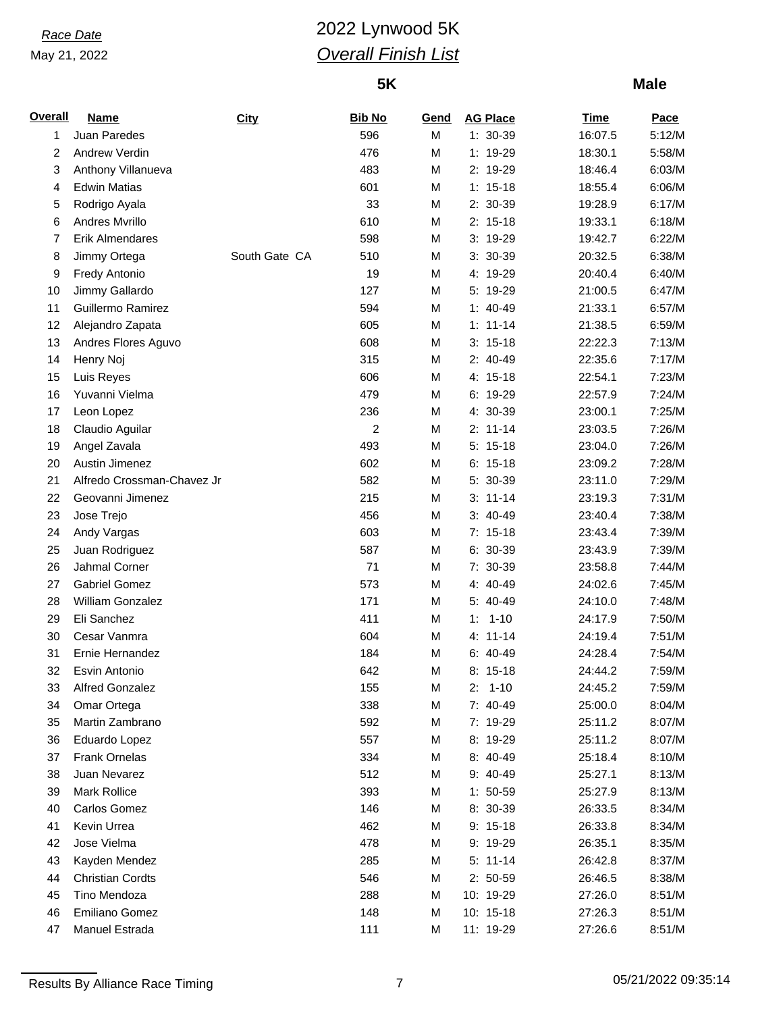# *Race Date* 2022 Lynwood 5K *Overall Finish List*

## **5K**

| <b>Overall</b> | <b>Name</b>                | City          | <b>Bib No</b> | Gend | <b>AG Place</b> | <u>Time</u> | Pace   |
|----------------|----------------------------|---------------|---------------|------|-----------------|-------------|--------|
| 1              | Juan Paredes               |               | 596           | M    | 1: 30-39        | 16:07.5     | 5:12/M |
| 2              | Andrew Verdin              |               | 476           | M    | 1: 19-29        | 18:30.1     | 5:58/M |
| 3              | Anthony Villanueva         |               | 483           | M    | 2: 19-29        | 18:46.4     | 6:03/M |
| 4              | <b>Edwin Matias</b>        |               | 601           | M    | $1: 15-18$      | 18:55.4     | 6:06/M |
| 5              | Rodrigo Ayala              |               | 33            | M    | 2: 30-39        | 19:28.9     | 6:17/M |
| 6              | Andres Mvrillo             |               | 610           | M    | $2: 15-18$      | 19:33.1     | 6:18/M |
| 7              | Erik Almendares            |               | 598           | M    | 3: 19-29        | 19:42.7     | 6:22/M |
| 8              | Jimmy Ortega               | South Gate CA | 510           | M    | 3: 30-39        | 20:32.5     | 6:38/M |
| 9              | <b>Fredy Antonio</b>       |               | 19            | M    | 4: 19-29        | 20:40.4     | 6:40/M |
| 10             | Jimmy Gallardo             |               | 127           | M    | 5: 19-29        | 21:00.5     | 6:47/M |
| 11             | Guillermo Ramirez          |               | 594           | M    | $1: 40-49$      | 21:33.1     | 6:57/M |
| 12             | Alejandro Zapata           |               | 605           | M    | $1: 11 - 14$    | 21:38.5     | 6:59/M |
| 13             | Andres Flores Aguvo        |               | 608           | M    | $3: 15-18$      | 22:22.3     | 7:13/M |
| 14             | Henry Noj                  |               | 315           | M    | 2: 40-49        | 22:35.6     | 7:17/M |
| 15             | Luis Reyes                 |               | 606           | M    | 4: 15-18        | 22:54.1     | 7:23/M |
| 16             | Yuvanni Vielma             |               | 479           | M    | 6: 19-29        | 22:57.9     | 7:24/M |
| 17             | Leon Lopez                 |               | 236           | M    | 4: 30-39        | 23:00.1     | 7:25/M |
| 18             | Claudio Aguilar            |               | 2             | M    | $2: 11-14$      | 23:03.5     | 7:26/M |
| 19             | Angel Zavala               |               | 493           | M    | $5: 15-18$      | 23:04.0     | 7:26/M |
| 20             | Austin Jimenez             |               | 602           | M    | $6: 15-18$      | 23:09.2     | 7:28/M |
| 21             | Alfredo Crossman-Chavez Jr |               | 582           | M    | 5: 30-39        | 23:11.0     | 7:29/M |
| 22             | Geovanni Jimenez           |               | 215           | M    | $3: 11-14$      | 23:19.3     | 7:31/M |
| 23             | Jose Trejo                 |               | 456           | M    | $3: 40-49$      | 23:40.4     | 7:38/M |
| 24             | Andy Vargas                |               | 603           | M    | $7: 15-18$      | 23:43.4     | 7:39/M |
| 25             | Juan Rodriguez             |               | 587           | M    | 6: 30-39        | 23:43.9     | 7:39/M |
| 26             | Jahmal Corner              |               | 71            | M    | 7: 30-39        | 23:58.8     | 7:44/M |
| 27             | <b>Gabriel Gomez</b>       |               | 573           | M    | 4: 40-49        | 24:02.6     | 7:45/M |
| 28             | William Gonzalez           |               | 171           | M    | 5: 40-49        | 24:10.0     | 7:48/M |
| 29             | Eli Sanchez                |               | 411           | M    | $1 - 10$<br>1:  | 24:17.9     | 7:50/M |
| 30             | Cesar Vanmra               |               | 604           | M    | $4: 11-14$      | 24:19.4     | 7:51/M |
| 31             | Ernie Hernandez            |               | 184           | M    | $6: 40-49$      | 24:28.4     | 7:54/M |
| 32             | Esvin Antonio              |               | 642           | M    | $8: 15-18$      | 24:44.2     | 7:59/M |
|                | Alfred Gonzalez            |               | 155           | M    | 2:<br>$1 - 10$  | 24:45.2     | 7:59/M |
| 33             |                            |               | 338           |      | 7: 40-49        |             |        |
| 34             | Omar Ortega                |               |               | M    |                 | 25:00.0     | 8:04/M |
| 35             | Martin Zambrano            |               | 592           | M    | 7: 19-29        | 25:11.2     | 8:07/M |
| 36             | Eduardo Lopez              |               | 557           | M    | 8: 19-29        | 25:11.2     | 8:07/M |
| 37             | <b>Frank Ornelas</b>       |               | 334           | M    | 8: 40-49        | 25:18.4     | 8:10/M |
| 38             | Juan Nevarez               |               | 512           | M    | 9: 40-49        | 25:27.1     | 8:13/M |
| 39             | Mark Rollice               |               | 393           | M    | $1: 50-59$      | 25:27.9     | 8:13/M |
| 40             | Carlos Gomez               |               | 146           | M    | 8: 30-39        | 26:33.5     | 8:34/M |
| 41             | Kevin Urrea                |               | 462           | M    | $9: 15-18$      | 26:33.8     | 8:34/M |
| 42             | Jose Vielma                |               | 478           | M    | 9: 19-29        | 26:35.1     | 8:35/M |
| 43             | Kayden Mendez              |               | 285           | M    | $5: 11-14$      | 26:42.8     | 8:37/M |
| 44             | <b>Christian Cordts</b>    |               | 546           | M    | $2: 50-59$      | 26:46.5     | 8:38/M |
| 45             | Tino Mendoza               |               | 288           | M    | 10: 19-29       | 27:26.0     | 8:51/M |
| 46             | Emiliano Gomez             |               | 148           | M    | 10: 15-18       | 27:26.3     | 8:51/M |
| 47             | Manuel Estrada             |               | 111           | M    | 11: 19-29       | 27:26.6     | 8:51/M |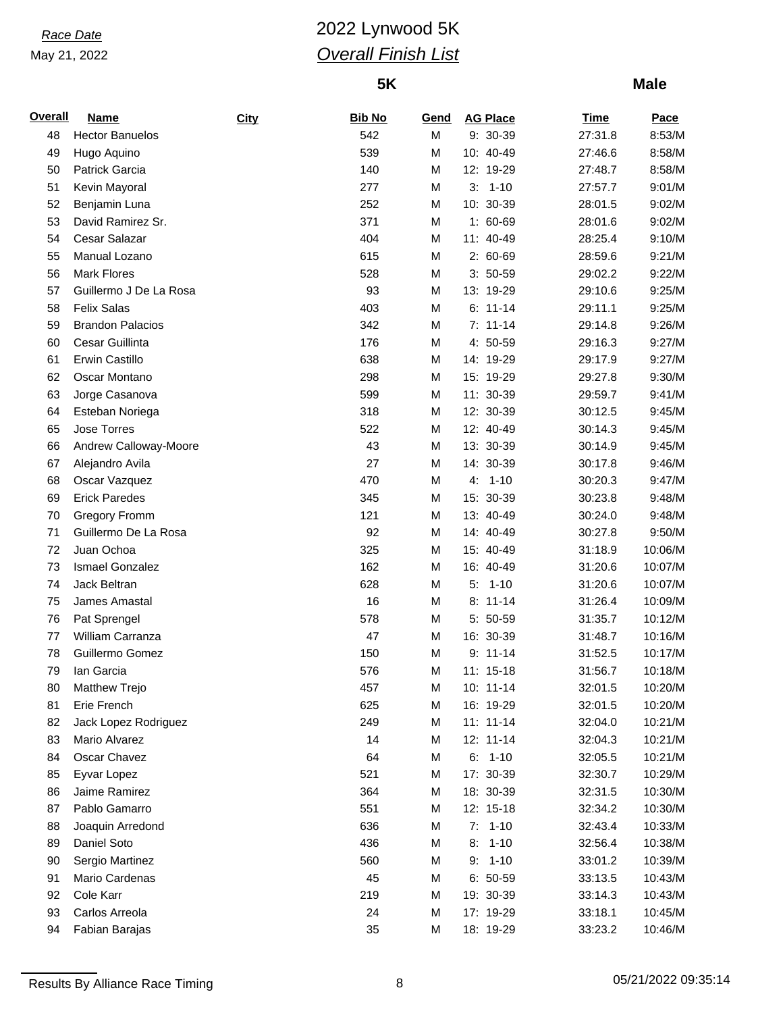## *Race Date* 2022 Lynwood 5K *Overall Finish List*

## **5K**

| <b>Overall</b> | <b>Name</b>             | <b>City</b> | <b>Bib No</b> | <u>Gend</u> | <b>AG Place</b> | <b>Time</b> | Pace    |
|----------------|-------------------------|-------------|---------------|-------------|-----------------|-------------|---------|
| 48             | <b>Hector Banuelos</b>  |             | 542           | M           | 9: 30-39        | 27:31.8     | 8:53/M  |
| 49             | Hugo Aquino             |             | 539           | M           | 10: 40-49       | 27:46.6     | 8:58/M  |
| 50             | Patrick Garcia          |             | 140           | M           | 12: 19-29       | 27:48.7     | 8:58/M  |
| 51             | Kevin Mayoral           |             | 277           | M           | $3: 1-10$       | 27:57.7     | 9:01/M  |
| 52             | Benjamin Luna           |             | 252           | M           | 10: 30-39       | 28:01.5     | 9:02/M  |
| 53             | David Ramirez Sr.       |             | 371           | M           | 1: 60-69        | 28:01.6     | 9:02/M  |
| 54             | Cesar Salazar           |             | 404           | M           | 11: 40-49       | 28:25.4     | 9:10/M  |
| 55             | Manual Lozano           |             | 615           | M           | 2: 60-69        | 28:59.6     | 9:21/M  |
| 56             | <b>Mark Flores</b>      |             | 528           | M           | $3: 50-59$      | 29:02.2     | 9:22/M  |
| 57             | Guillermo J De La Rosa  |             | 93            | M           | 13: 19-29       | 29:10.6     | 9:25/M  |
| 58             | <b>Felix Salas</b>      |             | 403           | M           | $6: 11-14$      | 29:11.1     | 9:25/M  |
| 59             | <b>Brandon Palacios</b> |             | 342           | M           | $7: 11-14$      | 29:14.8     | 9:26/M  |
| 60             | Cesar Guillinta         |             | 176           | M           | 4: 50-59        | 29:16.3     | 9:27/M  |
| 61             | <b>Erwin Castillo</b>   |             | 638           | M           | 14: 19-29       | 29:17.9     | 9:27/M  |
| 62             | Oscar Montano           |             | 298           | M           | 15: 19-29       | 29:27.8     | 9:30/M  |
| 63             | Jorge Casanova          |             | 599           | M           | 11: 30-39       | 29:59.7     | 9:41/M  |
| 64             | Esteban Noriega         |             | 318           | M           | 12: 30-39       | 30:12.5     | 9:45/M  |
| 65             | Jose Torres             |             | 522           | M           | 12: 40-49       | 30:14.3     | 9:45/M  |
| 66             | Andrew Calloway-Moore   |             | 43            | M           | 13: 30-39       | 30:14.9     | 9:45/M  |
| 67             | Alejandro Avila         |             | 27            | M           | 14: 30-39       | 30:17.8     | 9:46/M  |
| 68             | Oscar Vazquez           |             | 470           | M           | $4: 1-10$       | 30:20.3     | 9:47/M  |
| 69             | <b>Erick Paredes</b>    |             | 345           | M           | 15: 30-39       | 30:23.8     | 9:48/M  |
| 70             | <b>Gregory Fromm</b>    |             | 121           | M           | 13: 40-49       | 30:24.0     | 9:48/M  |
| 71             | Guillermo De La Rosa    |             | 92            | M           | 14: 40-49       | 30:27.8     | 9:50/M  |
| 72             | Juan Ochoa              |             | 325           | M           | 15: 40-49       | 31:18.9     | 10:06/M |
| 73             | Ismael Gonzalez         |             | 162           | M           | 16: 40-49       | 31:20.6     | 10:07/M |
| 74             | Jack Beltran            |             | 628           | M           | 5:<br>$1 - 10$  | 31:20.6     | 10:07/M |
| 75             | James Amastal           |             | 16            | M           | $8: 11-14$      | 31:26.4     | 10:09/M |
| 76             | Pat Sprengel            |             | 578           | M           | 5: 50-59        | 31:35.7     | 10:12/M |
| 77             | William Carranza        |             | 47            | M           | 16: 30-39       | 31:48.7     | 10:16/M |
| 78             | Guillermo Gomez         |             | 150           | M           | $9: 11-14$      | 31:52.5     | 10:17/M |
| 79             | lan Garcia              |             | 576           | М           | 11: 15-18       | 31:56.7     | 10:18/M |
| 80             | Matthew Trejo           |             | 457           | М           | 10: 11-14       | 32:01.5     | 10:20/M |
| 81             | Erie French             |             | 625           | M           | 16: 19-29       | 32:01.5     | 10:20/M |
| 82             | Jack Lopez Rodriguez    |             | 249           | M           | $11: 11-14$     | 32:04.0     | 10:21/M |
| 83             | Mario Alvarez           |             | 14            | M           | 12: 11-14       | 32:04.3     | 10:21/M |
| 84             | Oscar Chavez            |             | 64            | M           | $6: 1-10$       | 32:05.5     | 10:21/M |
| 85             | Eyvar Lopez             |             | 521           | M           | 17: 30-39       | 32:30.7     | 10:29/M |
| 86             | Jaime Ramirez           |             | 364           | M           | 18: 30-39       | 32:31.5     | 10:30/M |
| 87             | Pablo Gamarro           |             | 551           | M           | 12: 15-18       | 32:34.2     | 10:30/M |
| 88             | Joaquin Arredond        |             | 636           | M           | $7: 1-10$       | 32:43.4     | 10:33/M |
| 89             | Daniel Soto             |             | 436           | M           | $1 - 10$<br>8:  | 32:56.4     | 10:38/M |
| 90             | Sergio Martinez         |             | 560           | М           | $9: 1-10$       | 33:01.2     | 10:39/M |
| 91             | Mario Cardenas          |             | 45            | M           | $6: 50-59$      | 33:13.5     | 10:43/M |
| 92             | Cole Karr               |             | 219           | M           | 19: 30-39       | 33:14.3     | 10:43/M |
| 93             | Carlos Arreola          |             | 24            | M           | 17: 19-29       | 33:18.1     | 10:45/M |
| 94             | Fabian Barajas          |             | 35            | М           | 18: 19-29       | 33:23.2     | 10:46/M |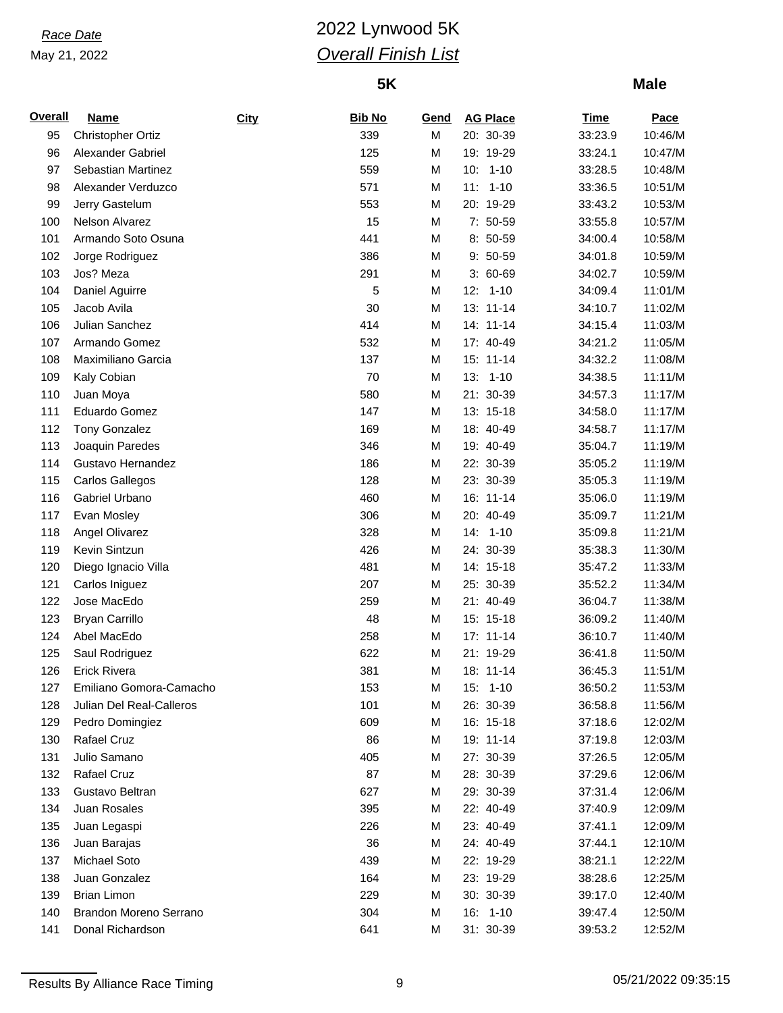## *Race Date* 2022 Lynwood 5K *Overall Finish List*

## **5K**

| <b>Overall</b> | <b>Name</b>              | City | <b>Bib No</b> | Gend | <b>AG Place</b> | <b>Time</b> | Pace    |
|----------------|--------------------------|------|---------------|------|-----------------|-------------|---------|
| 95             | <b>Christopher Ortiz</b> |      | 339           | M    | 20: 30-39       | 33:23.9     | 10:46/M |
| 96             | Alexander Gabriel        |      | 125           | M    | 19: 19-29       | 33:24.1     | 10:47/M |
| 97             | Sebastian Martinez       |      | 559           | M    | $1 - 10$<br>10: | 33:28.5     | 10:48/M |
| 98             | Alexander Verduzco       |      | 571           | M    | $11: 1-10$      | 33:36.5     | 10:51/M |
| 99             | Jerry Gastelum           |      | 553           | M    | 20: 19-29       | 33:43.2     | 10:53/M |
| 100            | Nelson Alvarez           |      | 15            | M    | 7: 50-59        | 33:55.8     | 10:57/M |
| 101            | Armando Soto Osuna       |      | 441           | M    | 8: 50-59        | 34:00.4     | 10:58/M |
| 102            | Jorge Rodriguez          |      | 386           | M    | 9: 50-59        | 34:01.8     | 10:59/M |
| 103            | Jos? Meza                |      | 291           | M    | $3:60-69$       | 34:02.7     | 10:59/M |
| 104            | Daniel Aguirre           |      | 5             | M    | $12: 1-10$      | 34:09.4     | 11:01/M |
| 105            | Jacob Avila              |      | 30            | M    | 13: 11-14       | 34:10.7     | 11:02/M |
| 106            | Julian Sanchez           |      | 414           | M    | 14: 11-14       | 34:15.4     | 11:03/M |
| 107            | Armando Gomez            |      | 532           | M    | 17: 40-49       | 34:21.2     | 11:05/M |
| 108            | Maximiliano Garcia       |      | 137           | M    | 15: 11-14       | 34:32.2     | 11:08/M |
| 109            | Kaly Cobian              |      | 70            | M    | $13: 1-10$      | 34:38.5     | 11:11/M |
| 110            | Juan Moya                |      | 580           | M    | 21: 30-39       | 34:57.3     | 11:17/M |
| 111            | Eduardo Gomez            |      | 147           | M    | 13: 15-18       | 34:58.0     | 11:17/M |
| 112            | <b>Tony Gonzalez</b>     |      | 169           | M    | 18: 40-49       | 34:58.7     | 11:17/M |
| 113            | Joaquin Paredes          |      | 346           | M    | 19: 40-49       | 35:04.7     | 11:19/M |
| 114            | Gustavo Hernandez        |      | 186           | M    | 22: 30-39       | 35:05.2     | 11:19/M |
| 115            | <b>Carlos Gallegos</b>   |      | 128           | M    | 23: 30-39       | 35:05.3     | 11:19/M |
| 116            | Gabriel Urbano           |      | 460           | M    | 16: 11-14       | 35:06.0     | 11:19/M |
| 117            | Evan Mosley              |      | 306           | M    | 20: 40-49       | 35:09.7     | 11:21/M |
| 118            | Angel Olivarez           |      | 328           | M    | 14: 1-10        | 35:09.8     | 11:21/M |
| 119            | Kevin Sintzun            |      | 426           | M    | 24: 30-39       | 35:38.3     | 11:30/M |
| 120            | Diego Ignacio Villa      |      | 481           | M    | 14: 15-18       | 35:47.2     | 11:33/M |
| 121            | Carlos Iniguez           |      | 207           | M    | 25: 30-39       | 35:52.2     | 11:34/M |
| 122            | Jose MacEdo              |      | 259           | M    | 21: 40-49       | 36:04.7     | 11:38/M |
| 123            | <b>Bryan Carrillo</b>    |      | 48            | M    | 15: 15-18       | 36:09.2     | 11:40/M |
| 124            | Abel MacEdo              |      | 258           | M    | $17: 11-14$     | 36:10.7     | 11:40/M |
| 125            | Saul Rodriguez           |      | 622           | M    | 21: 19-29       | 36:41.8     | 11:50/M |
| 126            | Erick Rivera             |      | 381           | M    | 18: 11-14       | 36:45.3     | 11:51/M |
| 127            | Emiliano Gomora-Camacho  |      | 153           | М    | 15: 1-10        | 36:50.2     | 11:53/M |
| 128            | Julian Del Real-Calleros |      | 101           | M    | 26: 30-39       | 36:58.8     | 11:56/M |
| 129            | Pedro Domingiez          |      | 609           | M    | 16: 15-18       | 37:18.6     | 12:02/M |
| 130            | Rafael Cruz              |      | 86            | M    | 19: 11-14       | 37:19.8     | 12:03/M |
| 131            | Julio Samano             |      | 405           | M    | 27: 30-39       | 37:26.5     | 12:05/M |
| 132            | Rafael Cruz              |      | 87            | M    | 28: 30-39       | 37:29.6     | 12:06/M |
| 133            | Gustavo Beltran          |      | 627           | M    | 29: 30-39       | 37:31.4     | 12:06/M |
| 134            | Juan Rosales             |      | 395           | M    | 22: 40-49       | 37:40.9     | 12:09/M |
| 135            | Juan Legaspi             |      | 226           | M    | 23: 40-49       | 37:41.1     | 12:09/M |
| 136            | Juan Barajas             |      | 36            | M    | 24: 40-49       | 37:44.1     | 12:10/M |
| 137            | Michael Soto             |      | 439           | M    | 22: 19-29       | 38:21.1     | 12:22/M |
| 138            | Juan Gonzalez            |      | 164           | M    | 23: 19-29       | 38:28.6     | 12:25/M |
| 139            | <b>Brian Limon</b>       |      | 229           | M    | 30: 30-39       | 39:17.0     | 12:40/M |
| 140            | Brandon Moreno Serrano   |      | 304           | M    | 16: 1-10        | 39:47.4     | 12:50/M |
| 141            | Donal Richardson         |      | 641           | М    | 31: 30-39       | 39:53.2     | 12:52/M |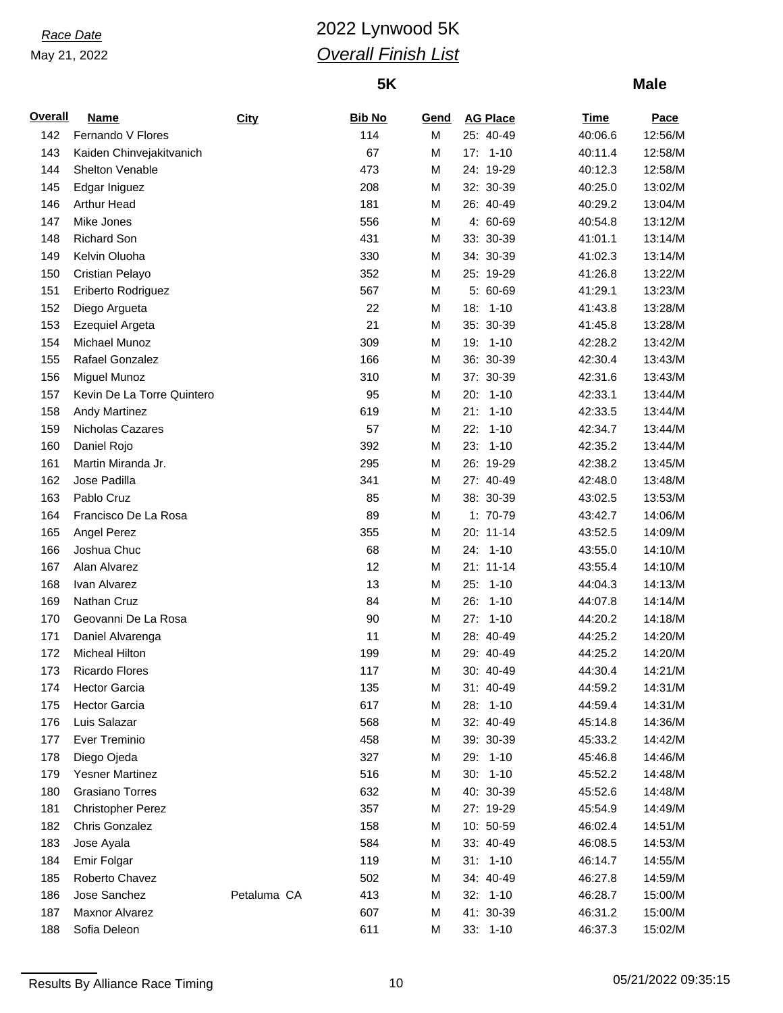# *Race Date* 2022 Lynwood 5K *Overall Finish List*

## **5K**

| <b>Overall</b> | <b>Name</b>                | City        | <b>Bib No</b> | Gend   | <b>AG Place</b> | <b>Time</b> | Pace    |
|----------------|----------------------------|-------------|---------------|--------|-----------------|-------------|---------|
| 142            | Fernando V Flores          |             | 114           | M      | 25: 40-49       | 40:06.6     | 12:56/M |
| 143            | Kaiden Chinvejakitvanich   |             | 67            | M      | $17: 1-10$      | 40:11.4     | 12:58/M |
| 144            | Shelton Venable            |             | 473           | М      | 24: 19-29       | 40:12.3     | 12:58/M |
| 145            | Edgar Iniguez              |             | 208           | M      | 32: 30-39       | 40:25.0     | 13:02/M |
| 146            | <b>Arthur Head</b>         |             | 181           | M      | 26: 40-49       | 40:29.2     | 13:04/M |
| 147            | Mike Jones                 |             | 556           | M      | 4: 60-69        | 40:54.8     | 13:12/M |
| 148            | <b>Richard Son</b>         |             | 431           | М      | 33: 30-39       | 41:01.1     | 13:14/M |
| 149            | Kelvin Oluoha              |             | 330           | М      | 34: 30-39       | 41:02.3     | 13:14/M |
| 150            | Cristian Pelayo            |             | 352           | M      | 25: 19-29       | 41:26.8     | 13:22/M |
| 151            | Eriberto Rodriguez         |             | 567           | M      | 5: 60-69        | 41:29.1     | 13:23/M |
| 152            | Diego Argueta              |             | 22            | М      | 18: 1-10        | 41:43.8     | 13:28/M |
| 153            | Ezequiel Argeta            |             | 21            | М      | 35: 30-39       | 41:45.8     | 13:28/M |
| 154            | Michael Munoz              |             | 309           | M      | 19: 1-10        | 42:28.2     | 13:42/M |
| 155            | Rafael Gonzalez            |             | 166           | М      | 36: 30-39       | 42:30.4     | 13:43/M |
| 156            | Miguel Munoz               |             | 310           | М      | 37: 30-39       | 42:31.6     | 13:43/M |
| 157            | Kevin De La Torre Quintero |             | 95            | М      | 20: 1-10        | 42:33.1     | 13:44/M |
| 158            | <b>Andy Martinez</b>       |             | 619           | M      | 21:<br>$1 - 10$ | 42:33.5     | 13:44/M |
| 159            | <b>Nicholas Cazares</b>    |             | 57            | M      | 22:<br>$1 - 10$ | 42:34.7     | 13:44/M |
| 160            | Daniel Rojo                |             | 392           | M      | 23:<br>$1 - 10$ | 42:35.2     | 13:44/M |
| 161            | Martin Miranda Jr.         |             | 295           | M      | 26: 19-29       | 42:38.2     | 13:45/M |
| 162            | Jose Padilla               |             | 341           | M      | 27: 40-49       | 42:48.0     | 13:48/M |
| 163            | Pablo Cruz                 |             | 85            | M      | 38: 30-39       | 43:02.5     | 13:53/M |
| 164            | Francisco De La Rosa       |             | 89            | M      | 1: 70-79        | 43:42.7     | 14:06/M |
| 165            | Angel Perez                |             | 355           | М      | 20: 11-14       | 43:52.5     | 14:09/M |
| 166            | Joshua Chuc                |             | 68            | M      | 24: 1-10        | 43:55.0     | 14:10/M |
| 167            | Alan Alvarez               |             | 12            | M      | 21: 11-14       | 43:55.4     | 14:10/M |
| 168            | Ivan Alvarez               |             | 13            | M      | 25:<br>$1 - 10$ | 44:04.3     | 14:13/M |
| 169            | Nathan Cruz                |             | 84            | M      | 26:<br>$1 - 10$ | 44:07.8     | 14:14/M |
| 170            | Geovanni De La Rosa        |             | 90            | M      | 27:<br>$1 - 10$ | 44:20.2     | 14:18/M |
| 171            | Daniel Alvarenga           |             | 11            | М      | 28: 40-49       | 44:25.2     | 14:20/M |
| 172            | <b>Micheal Hilton</b>      |             | 199           | М      | 29: 40-49       | 44:25.2     | 14:20/M |
| 173            | <b>Ricardo Flores</b>      |             | 117           | M      | 30: 40-49       | 44:30.4     | 14:21/M |
| 174            | <b>Hector Garcia</b>       |             | 135           | М      | 31: 40-49       | 44:59.2     | 14:31/M |
| 175            | <b>Hector Garcia</b>       |             | 617           | М      | 28: 1-10        | 44:59.4     | 14:31/M |
| 176            | Luis Salazar               |             | 568           | M      | 32: 40-49       | 45:14.8     | 14:36/M |
| 177            | Ever Treminio              |             | 458           | M      | 39: 30-39       | 45:33.2     | 14:42/M |
| 178            | Diego Ojeda                |             | 327           | M      | 29: 1-10        | 45:46.8     | 14:46/M |
| 179            | <b>Yesner Martinez</b>     |             | 516           | M      | $30: 1-10$      | 45:52.2     | 14:48/M |
| 180            | Grasiano Torres            |             | 632           | M      | 40: 30-39       | 45:52.6     | 14:48/M |
| 181            | <b>Christopher Perez</b>   |             | 357           | М      | 27: 19-29       | 45:54.9     | 14:49/M |
| 182            | Chris Gonzalez             |             | 158           | М      | 10: 50-59       | 46:02.4     | 14:51/M |
| 183            | Jose Ayala                 |             | 584           |        | 33: 40-49       | 46:08.5     | 14:53/M |
| 184            | Emir Folgar                |             | 119           | M<br>M | $31: 1-10$      | 46:14.7     | 14:55/M |
| 185            | Roberto Chavez             |             | 502           | M      | 34: 40-49       | 46:27.8     | 14:59/M |
| 186            | Jose Sanchez               | Petaluma CA | 413           | М      | 32: 1-10        | 46:28.7     | 15:00/M |
| 187            | Maxnor Alvarez             |             | 607           |        | 41: 30-39       | 46:31.2     | 15:00/M |
| 188            |                            |             |               | M      |                 |             |         |
|                | Sofia Deleon               |             | 611           | М      | 33: 1-10        | 46:37.3     | 15:02/M |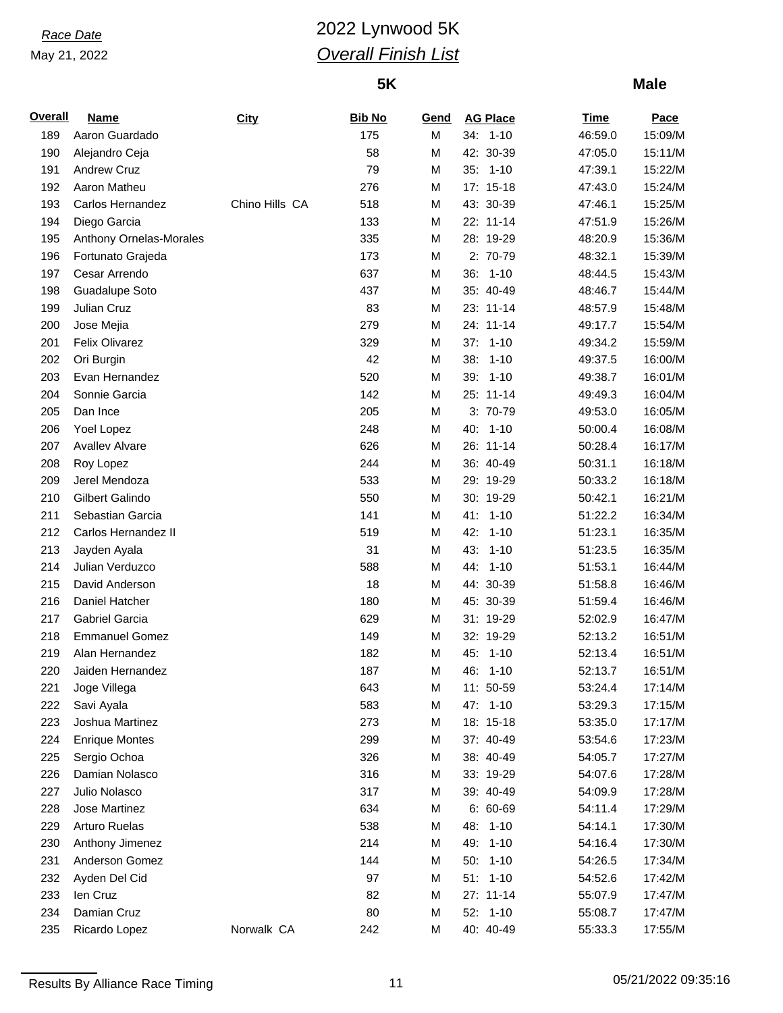# *Race Date* 2022 Lynwood 5K *Overall Finish List*

## **5K**

| <b>Overall</b> | <b>Name</b>             | <b>City</b>    | <b>Bib No</b> | Gend |     | <b>AG Place</b> | <u>Time</u> | <b>Pace</b> |
|----------------|-------------------------|----------------|---------------|------|-----|-----------------|-------------|-------------|
| 189            | Aaron Guardado          |                | 175           | M    |     | 34: 1-10        | 46:59.0     | 15:09/M     |
| 190            | Alejandro Ceja          |                | 58            | M    |     | 42: 30-39       | 47:05.0     | 15:11/M     |
| 191            | <b>Andrew Cruz</b>      |                | 79            | M    |     | 35: 1-10        | 47:39.1     | 15:22/M     |
| 192            | Aaron Matheu            |                | 276           | M    |     | 17: 15-18       | 47:43.0     | 15:24/M     |
| 193            | Carlos Hernandez        | Chino Hills CA | 518           | M    |     | 43: 30-39       | 47:46.1     | 15:25/M     |
| 194            | Diego Garcia            |                | 133           | M    |     | 22: 11-14       | 47:51.9     | 15:26/M     |
| 195            | Anthony Ornelas-Morales |                | 335           | M    |     | 28: 19-29       | 48:20.9     | 15:36/M     |
| 196            | Fortunato Grajeda       |                | 173           | M    |     | 2: 70-79        | 48:32.1     | 15:39/M     |
| 197            | Cesar Arrendo           |                | 637           | M    |     | 36: 1-10        | 48:44.5     | 15:43/M     |
| 198            | Guadalupe Soto          |                | 437           | M    |     | 35: 40-49       | 48:46.7     | 15:44/M     |
| 199            | Julian Cruz             |                | 83            | M    |     | 23: 11-14       | 48:57.9     | 15:48/M     |
| 200            | Jose Mejia              |                | 279           | M    |     | 24: 11-14       | 49:17.7     | 15:54/M     |
| 201            | Felix Olivarez          |                | 329           | M    | 37: | $1 - 10$        | 49:34.2     | 15:59/M     |
| 202            | Ori Burgin              |                | 42            | M    | 38: | $1 - 10$        | 49:37.5     | 16:00/M     |
| 203            | Evan Hernandez          |                | 520           | M    |     | 39: 1-10        | 49:38.7     | 16:01/M     |
| 204            | Sonnie Garcia           |                | 142           | M    |     | 25: 11-14       | 49:49.3     | 16:04/M     |
| 205            | Dan Ince                |                | 205           | M    |     | 3: 70-79        | 49:53.0     | 16:05/M     |
| 206            | Yoel Lopez              |                | 248           | M    |     | 40: 1-10        | 50:00.4     | 16:08/M     |
| 207            | <b>Avallev Alvare</b>   |                | 626           | M    |     | 26: 11-14       | 50:28.4     | 16:17/M     |
| 208            | Roy Lopez               |                | 244           | M    |     | 36: 40-49       | 50:31.1     | 16:18/M     |
| 209            | Jerel Mendoza           |                | 533           | M    |     | 29: 19-29       | 50:33.2     | 16:18/M     |
| 210            | Gilbert Galindo         |                | 550           | M    |     | 30: 19-29       | 50:42.1     | 16:21/M     |
| 211            | Sebastian Garcia        |                | 141           | M    |     | 41: 1-10        | 51:22.2     | 16:34/M     |
| 212            | Carlos Hernandez II     |                | 519           | M    | 42: | $1 - 10$        | 51:23.1     | 16:35/M     |
| 213            | Jayden Ayala            |                | 31            | M    | 43: | $1 - 10$        | 51:23.5     | 16:35/M     |
| 214            | Julian Verduzco         |                | 588           | M    |     | 44: 1-10        | 51:53.1     | 16:44/M     |
| 215            | David Anderson          |                | 18            | M    |     | 44: 30-39       | 51:58.8     | 16:46/M     |
| 216            | Daniel Hatcher          |                | 180           | M    |     | 45: 30-39       | 51:59.4     | 16:46/M     |
| 217            | Gabriel Garcia          |                | 629           | M    |     | 31: 19-29       | 52:02.9     | 16:47/M     |
| 218            | <b>Emmanuel Gomez</b>   |                | 149           | M    |     | 32: 19-29       | 52:13.2     | 16:51/M     |
| 219            | Alan Hernandez          |                | 182           | M    | 45: | $1 - 10$        | 52:13.4     | 16:51/M     |
| 220            | Jaiden Hernandez        |                | 187           | M    |     | 46: 1-10        | 52:13.7     | 16:51/M     |
| 221            | Joge Villega            |                | 643           | M    |     | 11: 50-59       | 53:24.4     | 17:14/M     |
| 222            | Savi Ayala              |                | 583           | M    |     | 47: 1-10        | 53:29.3     | 17:15/M     |
| 223            | Joshua Martinez         |                | 273           | M    |     | 18: 15-18       | 53:35.0     | 17:17/M     |
| 224            | <b>Enrique Montes</b>   |                | 299           | M    |     | 37: 40-49       | 53:54.6     | 17:23/M     |
| 225            | Sergio Ochoa            |                | 326           | M    |     | 38: 40-49       | 54:05.7     | 17:27/M     |
| 226            | Damian Nolasco          |                | 316           | M    |     | 33: 19-29       | 54:07.6     | 17:28/M     |
| 227            | Julio Nolasco           |                | 317           | M    |     | 39: 40-49       | 54:09.9     | 17:28/M     |
| 228            | Jose Martinez           |                | 634           | M    |     | $6: 60-69$      | 54:11.4     | 17:29/M     |
| 229            | <b>Arturo Ruelas</b>    |                | 538           | M    |     | 48: 1-10        | 54:14.1     | 17:30/M     |
| 230            | Anthony Jimenez         |                | 214           | M    |     | 49: 1-10        | 54:16.4     | 17:30/M     |
| 231            | Anderson Gomez          |                | 144           | M    |     | 50: 1-10        | 54:26.5     | 17:34/M     |
| 232            | Ayden Del Cid           |                | 97            | M    |     | $51: 1-10$      | 54:52.6     | 17:42/M     |
| 233            | len Cruz                |                | 82            | M    |     | 27: 11-14       | 55:07.9     | 17:47/M     |
| 234            | Damian Cruz             |                | 80            | M    |     | 52: 1-10        | 55:08.7     | 17:47/M     |
| 235            | Ricardo Lopez           | Norwalk CA     | 242           | М    |     | 40: 40-49       | 55:33.3     | 17:55/M     |